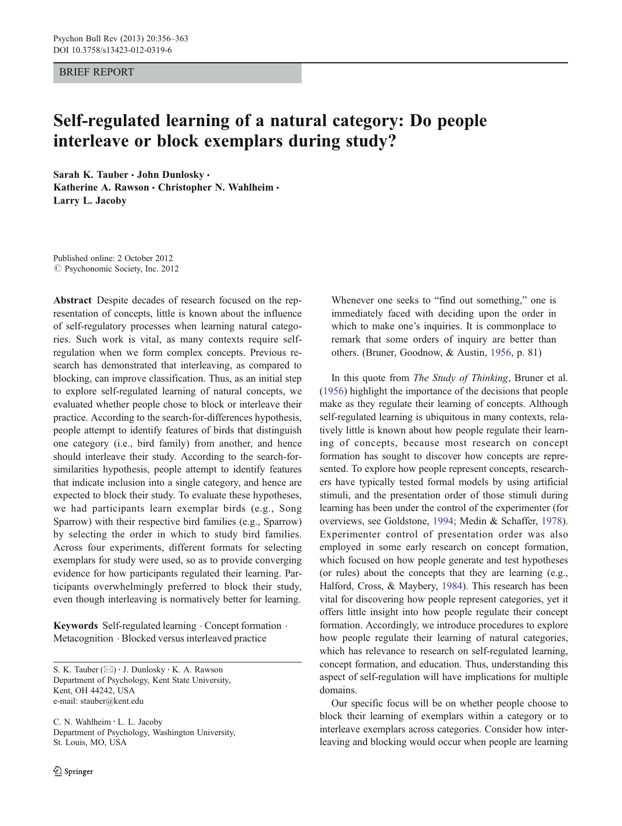BRIEF REPORT

# Self-regulated learning of a natural category: Do people interleave or block exemplars during study?

Sarah K. Tauber · John Dunlosky · Katherine A. Rawson · Christopher N. Wahlheim · Larry L. Jacoby

Published online: 2 October 2012  $\odot$  Psychonomic Society, Inc. 2012

Abstract Despite decades of research focused on the representation of concepts, little is known about the influence of self-regulatory processes when learning natural categories. Such work is vital, as many contexts require selfregulation when we form complex concepts. Previous research has demonstrated that interleaving, as compared to blocking, can improve classification. Thus, as an initial step to explore self-regulated learning of natural concepts, we evaluated whether people chose to block or interleave their practice. According to the search-for-differences hypothesis, people attempt to identify features of birds that distinguish one category (i.e., bird family) from another, and hence should interleave their study. According to the search-forsimilarities hypothesis, people attempt to identify features that indicate inclusion into a single category, and hence are expected to block their study. To evaluate these hypotheses, we had participants learn exemplar birds (e.g., Song Sparrow) with their respective bird families (e.g., Sparrow) by selecting the order in which to study bird families. Across four experiments, different formats for selecting exemplars for study were used, so as to provide converging evidence for how participants regulated their learning. Participants overwhelmingly preferred to block their study, even though interleaving is normatively better for learning.

Keywords Self-regulated learning . Concept formation . Metacognition . Blocked versus interleaved practice

C. N. Wahlheim : L. L. Jacoby Department of Psychology, Washington University, St. Louis, MO, USA

Whenever one seeks to "find out something," one is immediately faced with deciding upon the order in which to make one's inquiries. It is commonplace to remark that some orders of inquiry are better than others. (Bruner, Goodnow, & Austin, [1956,](#page-7-0) p. 81)

In this quote from The Study of Thinking, Bruner et al. [\(1956](#page-7-0)) highlight the importance of the decisions that people make as they regulate their learning of concepts. Although self-regulated learning is ubiquitous in many contexts, relatively little is known about how people regulate their learning of concepts, because most research on concept formation has sought to discover how concepts are represented. To explore how people represent concepts, researchers have typically tested formal models by using artificial stimuli, and the presentation order of those stimuli during learning has been under the control of the experimenter (for overviews, see Goldstone, [1994](#page-7-0); Medin & Schaffer, [1978\)](#page-7-0). Experimenter control of presentation order was also employed in some early research on concept formation, which focused on how people generate and test hypotheses (or rules) about the concepts that they are learning (e.g., Halford, Cross, & Maybery, [1984\)](#page-7-0). This research has been vital for discovering how people represent categories, yet it offers little insight into how people regulate their concept formation. Accordingly, we introduce procedures to explore how people regulate their learning of natural categories, which has relevance to research on self-regulated learning, concept formation, and education. Thus, understanding this aspect of self-regulation will have implications for multiple domains.

Our specific focus will be on whether people choose to block their learning of exemplars within a category or to interleave exemplars across categories. Consider how interleaving and blocking would occur when people are learning

S. K. Tauber  $(\boxtimes) \cdot$  J. Dunlosky  $\cdot$  K. A. Rawson Department of Psychology, Kent State University, Kent, OH 44242, USA e-mail: stauber@kent.edu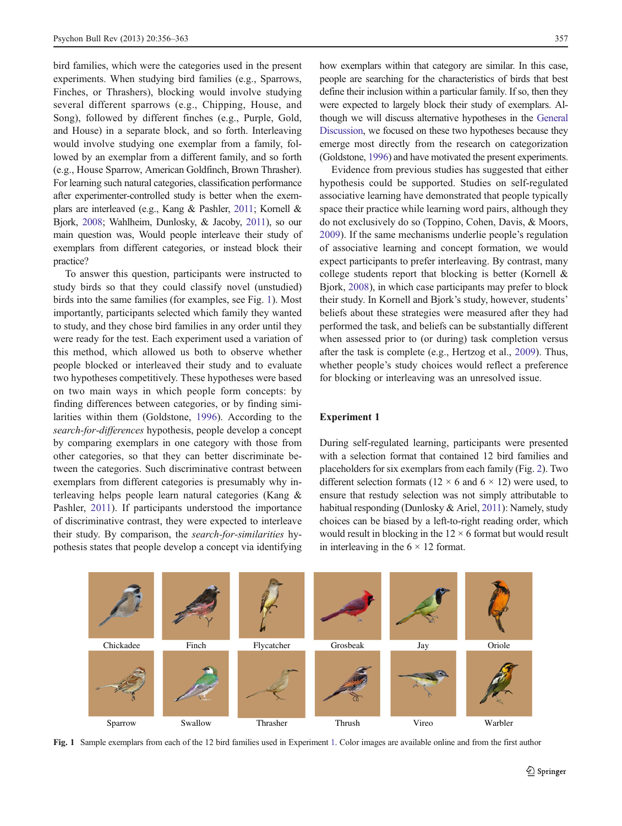<span id="page-1-0"></span>bird families, which were the categories used in the present experiments. When studying bird families (e.g., Sparrows, Finches, or Thrashers), blocking would involve studying several different sparrows (e.g., Chipping, House, and Song), followed by different finches (e.g., Purple, Gold, and House) in a separate block, and so forth. Interleaving would involve studying one exemplar from a family, followed by an exemplar from a different family, and so forth (e.g., House Sparrow, American Goldfinch, Brown Thrasher). For learning such natural categories, classification performance after experimenter-controlled study is better when the exemplars are interleaved (e.g., Kang & Pashler, [2011;](#page-7-0) Kornell & Bjork, [2008](#page-7-0); Wahlheim, Dunlosky, & Jacoby, [2011\)](#page-7-0), so our main question was, Would people interleave their study of exemplars from different categories, or instead block their practice?

To answer this question, participants were instructed to study birds so that they could classify novel (unstudied) birds into the same families (for examples, see Fig. 1). Most importantly, participants selected which family they wanted to study, and they chose bird families in any order until they were ready for the test. Each experiment used a variation of this method, which allowed us both to observe whether people blocked or interleaved their study and to evaluate two hypotheses competitively. These hypotheses were based on two main ways in which people form concepts: by finding differences between categories, or by finding similarities within them (Goldstone, [1996\)](#page-7-0). According to the search-for-differences hypothesis, people develop a concept by comparing exemplars in one category with those from other categories, so that they can better discriminate between the categories. Such discriminative contrast between exemplars from different categories is presumably why interleaving helps people learn natural categories (Kang & Pashler, [2011\)](#page-7-0). If participants understood the importance of discriminative contrast, they were expected to interleave their study. By comparison, the search-for-similarities hypothesis states that people develop a concept via identifying

how exemplars within that category are similar. In this case, people are searching for the characteristics of birds that best define their inclusion within a particular family. If so, then they were expected to largely block their study of exemplars. Although we will discuss alternative hypotheses in the [General](#page-5-0) [Discussion,](#page-5-0) we focused on these two hypotheses because they emerge most directly from the research on categorization (Goldstone, [1996\)](#page-7-0) and have motivated the present experiments.

Evidence from previous studies has suggested that either hypothesis could be supported. Studies on self-regulated associative learning have demonstrated that people typically space their practice while learning word pairs, although they do not exclusively do so (Toppino, Cohen, Davis, & Moors, [2009](#page-7-0)). If the same mechanisms underlie people's regulation of associative learning and concept formation, we would expect participants to prefer interleaving. By contrast, many college students report that blocking is better (Kornell & Bjork, [2008\)](#page-7-0), in which case participants may prefer to block their study. In Kornell and Bjork's study, however, students' beliefs about these strategies were measured after they had performed the task, and beliefs can be substantially different when assessed prior to (or during) task completion versus after the task is complete (e.g., Hertzog et al., [2009](#page-7-0)). Thus, whether people's study choices would reflect a preference for blocking or interleaving was an unresolved issue.

## Experiment 1

During self-regulated learning, participants were presented with a selection format that contained 12 bird families and placeholders for six exemplars from each family (Fig. [2](#page-2-0)). Two different selection formats ( $12 \times 6$  and  $6 \times 12$ ) were used, to ensure that restudy selection was not simply attributable to habitual responding (Dunlosky & Ariel, [2011\)](#page-7-0): Namely, study choices can be biased by a left-to-right reading order, which would result in blocking in the  $12 \times 6$  format but would result in interleaving in the  $6 \times 12$  format.



Fig. 1 Sample exemplars from each of the 12 bird families used in Experiment 1. Color images are available online and from the first author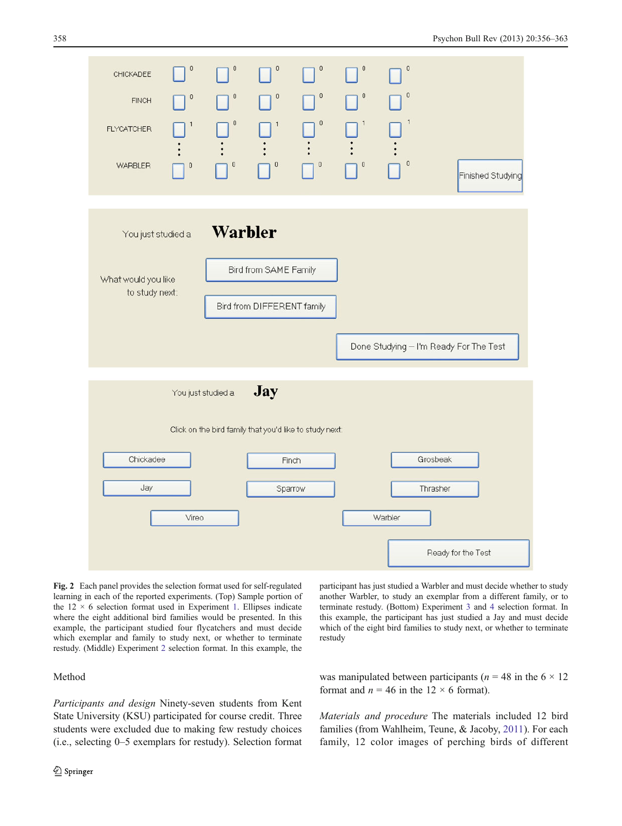<span id="page-2-0"></span>

restudy

Fig. 2 Each panel provides the selection format used for self-regulated learning in each of the reported experiments. (Top) Sample portion of the  $12 \times 6$  $12 \times 6$  selection format used in Experiment 1. Ellipses indicate where the eight additional bird families would be presented. In this example, the participant studied four flycatchers and must decide which exemplar and family to study next, or whether to terminate restudy. (Middle) Experiment [2](#page-3-0) selection format. In this example, the

Method

Participants and design Ninety-seven students from Kent State University (KSU) participated for course credit. Three students were excluded due to making few restudy choices (i.e., selecting 0–5 exemplars for restudy). Selection format

was manipulated between participants ( $n = 48$  in the 6  $\times$  12 format and  $n = 46$  in the  $12 \times 6$  format).

participant has just studied a Warbler and must decide whether to study another Warbler, to study an exemplar from a different family, or to terminate restudy. (Bottom) Experiment [3](#page-4-0) and [4](#page-5-0) selection format. In this example, the participant has just studied a Jay and must decide which of the eight bird families to study next, or whether to terminate

Materials and procedure The materials included 12 bird families (from Wahlheim, Teune, & Jacoby, [2011\)](#page-7-0). For each family, 12 color images of perching birds of different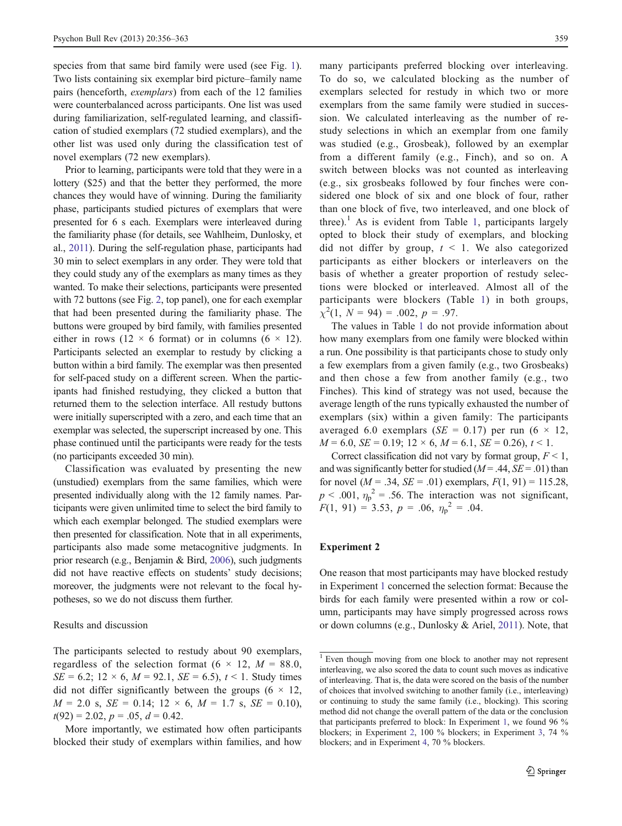<span id="page-3-0"></span>species from that same bird family were used (see Fig. [1](#page-1-0)). Two lists containing six exemplar bird picture–family name pairs (henceforth, exemplars) from each of the 12 families were counterbalanced across participants. One list was used during familiarization, self-regulated learning, and classification of studied exemplars (72 studied exemplars), and the other list was used only during the classification test of novel exemplars (72 new exemplars).

Prior to learning, participants were told that they were in a lottery (\$25) and that the better they performed, the more chances they would have of winning. During the familiarity phase, participants studied pictures of exemplars that were presented for 6 s each. Exemplars were interleaved during the familiarity phase (for details, see Wahlheim, Dunlosky, et al., [2011](#page-7-0)). During the self-regulation phase, participants had 30 min to select exemplars in any order. They were told that they could study any of the exemplars as many times as they wanted. To make their selections, participants were presented with 72 buttons (see Fig. [2](#page-2-0), top panel), one for each exemplar that had been presented during the familiarity phase. The buttons were grouped by bird family, with families presented either in rows (12  $\times$  6 format) or in columns (6  $\times$  12). Participants selected an exemplar to restudy by clicking a button within a bird family. The exemplar was then presented for self-paced study on a different screen. When the participants had finished restudying, they clicked a button that returned them to the selection interface. All restudy buttons were initially superscripted with a zero, and each time that an exemplar was selected, the superscript increased by one. This phase continued until the participants were ready for the tests (no participants exceeded 30 min).

Classification was evaluated by presenting the new (unstudied) exemplars from the same families, which were presented individually along with the 12 family names. Participants were given unlimited time to select the bird family to which each exemplar belonged. The studied exemplars were then presented for classification. Note that in all experiments, participants also made some metacognitive judgments. In prior research (e.g., Benjamin & Bird, [2006](#page-7-0)), such judgments did not have reactive effects on students' study decisions; moreover, the judgments were not relevant to the focal hypotheses, so we do not discuss them further.

# Results and discussion

The participants selected to restudy about 90 exemplars, regardless of the selection format (6  $\times$  12,  $M = 88.0$ ,  $SE = 6.2$ ; 12 × 6,  $M = 92.1$ ,  $SE = 6.5$ ),  $t < 1$ . Study times did not differ significantly between the groups ( $6 \times 12$ ,  $M = 2.0$  s,  $SE = 0.14$ ;  $12 \times 6$ ,  $M = 1.7$  s,  $SE = 0.10$ ),  $t(92) = 2.02, p = .05, d = 0.42.$ 

More importantly, we estimated how often participants blocked their study of exemplars within families, and how many participants preferred blocking over interleaving. To do so, we calculated blocking as the number of exemplars selected for restudy in which two or more exemplars from the same family were studied in succession. We calculated interleaving as the number of restudy selections in which an exemplar from one family was studied (e.g., Grosbeak), followed by an exemplar from a different family (e.g., Finch), and so on. A switch between blocks was not counted as interleaving (e.g., six grosbeaks followed by four finches were considered one block of six and one block of four, rather than one block of five, two interleaved, and one block of three).<sup>1</sup> As is evident from Table [1,](#page-4-0) participants largely opted to block their study of exemplars, and blocking did not differ by group,  $t < 1$ . We also categorized participants as either blockers or interleavers on the basis of whether a greater proportion of restudy selections were blocked or interleaved. Almost all of the participants were blockers (Table [1\)](#page-4-0) in both groups,  $\chi^2(1, N = 94) = .002, p = .97.$ 

The values in Table [1](#page-4-0) do not provide information about how many exemplars from one family were blocked within a run. One possibility is that participants chose to study only a few exemplars from a given family (e.g., two Grosbeaks) and then chose a few from another family (e.g., two Finches). This kind of strategy was not used, because the average length of the runs typically exhausted the number of exemplars (six) within a given family: The participants averaged 6.0 exemplars ( $SE = 0.17$ ) per run (6 × 12,  $M = 6.0$ ,  $SE = 0.19$ ;  $12 \times 6$ ,  $M = 6.1$ ,  $SE = 0.26$ ),  $t \le 1$ .

Correct classification did not vary by format group,  $F < 1$ , and was significantly better for studied ( $M = .44$ ,  $SE = .01$ ) than for novel ( $M = .34$ ,  $SE = .01$ ) exemplars,  $F(1, 91) = 115.28$ ,  $p < .001$ ,  $\eta_p^2 = .56$ . The interaction was not significant,  $F(1, 91) = 3.53, p = .06, \eta_p^2 = .04.$ 

#### Experiment 2

One reason that most participants may have blocked restudy in Experiment [1](#page-1-0) concerned the selection format: Because the birds for each family were presented within a row or column, participants may have simply progressed across rows or down columns (e.g., Dunlosky & Ariel, [2011\)](#page-7-0). Note, that

<sup>&</sup>lt;sup>1</sup> Even though moving from one block to another may not represent interleaving, we also scored the data to count such moves as indicative of interleaving. That is, the data were scored on the basis of the number of choices that involved switching to another family (i.e., interleaving) or continuing to study the same family (i.e., blocking). This scoring method did not change the overall pattern of the data or the conclusion that participants preferred to block: In Experiment [1,](#page-1-0) we found 96 % blockers; in Experiment 2, 100 % blockers; in Experiment [3,](#page-4-0) 74 % blockers; and in Experiment [4](#page-5-0), 70 % blockers.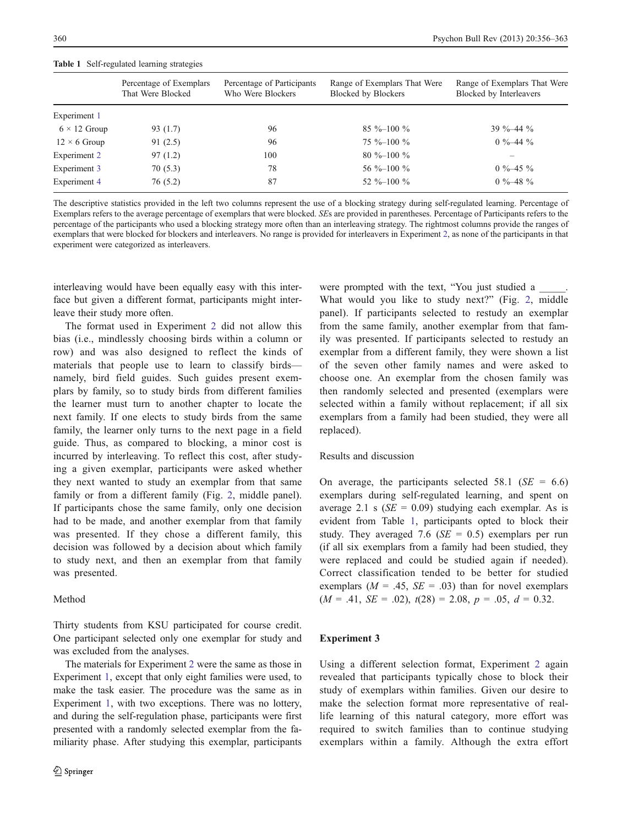<span id="page-4-0"></span>Table 1 Self-regulated learning strategies

|                     | Percentage of Exemplars<br>That Were Blocked | Percentage of Participants<br>Who Were Blockers | Range of Exemplars That Were<br><b>Blocked by Blockers</b> | Range of Exemplars That Were<br>Blocked by Interleavers |
|---------------------|----------------------------------------------|-------------------------------------------------|------------------------------------------------------------|---------------------------------------------------------|
| Experiment 1        |                                              |                                                 |                                                            |                                                         |
| $6 \times 12$ Group | 93 (1.7)                                     | 96                                              | $85\% - 100\%$                                             | 39 $\% -44$ %                                           |
| $12 \times 6$ Group | 91(2.5)                                      | 96                                              | $75\% - 100\%$                                             | 0 $\% -44$ %                                            |
| Experiment 2        | 97(1.2)                                      | 100                                             | $80\% - 100\%$                                             |                                                         |
| Experiment 3        | 70(5.3)                                      | 78                                              | 56 $\%$ -100 $\%$                                          | 0 $\frac{9}{6}$ –45 $\frac{9}{6}$                       |
| <b>Experiment 4</b> | 76 (5.2)                                     | 87                                              | 52 $\%$ -100 $\%$                                          | 0 $\% -48$ %                                            |

The descriptive statistics provided in the left two columns represent the use of a blocking strategy during self-regulated learning. Percentage of Exemplars refers to the average percentage of exemplars that were blocked. SEs are provided in parentheses. Percentage of Participants refers to the percentage of the participants who used a blocking strategy more often than an interleaving strategy. The rightmost columns provide the ranges of exemplars that were blocked for blockers and interleavers. No range is provided for interleavers in Experiment [2,](#page-3-0) as none of the participants in that experiment were categorized as interleavers.

interleaving would have been equally easy with this interface but given a different format, participants might interleave their study more often.

The format used in Experiment [2](#page-3-0) did not allow this bias (i.e., mindlessly choosing birds within a column or row) and was also designed to reflect the kinds of materials that people use to learn to classify birds namely, bird field guides. Such guides present exemplars by family, so to study birds from different families the learner must turn to another chapter to locate the next family. If one elects to study birds from the same family, the learner only turns to the next page in a field guide. Thus, as compared to blocking, a minor cost is incurred by interleaving. To reflect this cost, after studying a given exemplar, participants were asked whether they next wanted to study an exemplar from that same family or from a different family (Fig. [2,](#page-2-0) middle panel). If participants chose the same family, only one decision had to be made, and another exemplar from that family was presented. If they chose a different family, this decision was followed by a decision about which family to study next, and then an exemplar from that family was presented.

# Method

Thirty students from KSU participated for course credit. One participant selected only one exemplar for study and was excluded from the analyses.

The materials for Experiment [2](#page-3-0) were the same as those in Experiment [1](#page-1-0), except that only eight families were used, to make the task easier. The procedure was the same as in Experiment [1](#page-1-0), with two exceptions. There was no lottery, and during the self-regulation phase, participants were first presented with a randomly selected exemplar from the familiarity phase. After studying this exemplar, participants were prompted with the text, "You just studied a What would you like to study next?" (Fig. [2](#page-2-0), middle panel). If participants selected to restudy an exemplar from the same family, another exemplar from that family was presented. If participants selected to restudy an exemplar from a different family, they were shown a list of the seven other family names and were asked to choose one. An exemplar from the chosen family was then randomly selected and presented (exemplars were selected within a family without replacement; if all six exemplars from a family had been studied, they were all replaced).

# Results and discussion

On average, the participants selected 58.1 ( $SE = 6.6$ ) exemplars during self-regulated learning, and spent on average 2.1 s ( $SE = 0.09$ ) studying each exemplar. As is evident from Table 1, participants opted to block their study. They averaged 7.6 ( $SE = 0.5$ ) exemplars per run (if all six exemplars from a family had been studied, they were replaced and could be studied again if needed). Correct classification tended to be better for studied exemplars ( $M = .45$ ,  $SE = .03$ ) than for novel exemplars  $(M = .41, SE = .02), t(28) = 2.08, p = .05, d = 0.32.$ 

## Experiment 3

Using a different selection format, Experiment [2](#page-3-0) again revealed that participants typically chose to block their study of exemplars within families. Given our desire to make the selection format more representative of reallife learning of this natural category, more effort was required to switch families than to continue studying exemplars within a family. Although the extra effort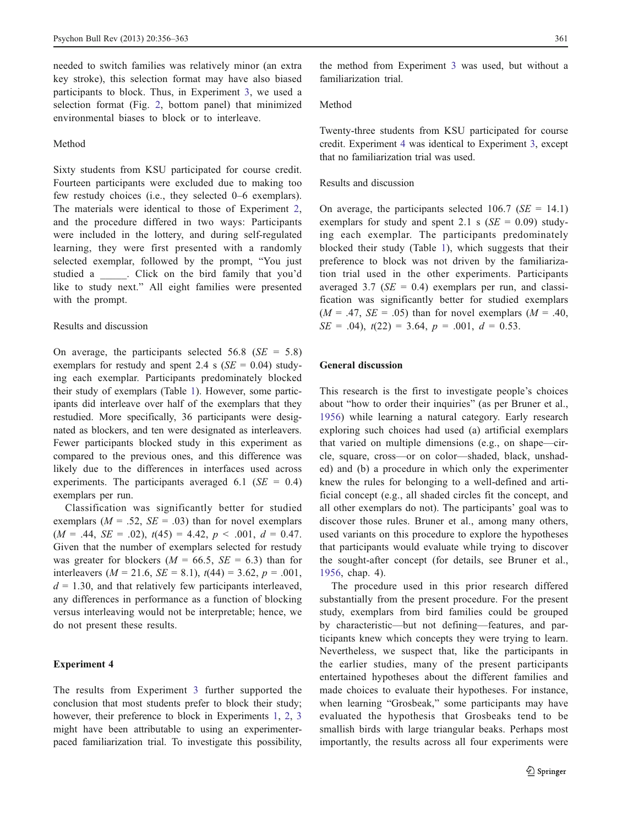<span id="page-5-0"></span>needed to switch families was relatively minor (an extra key stroke), this selection format may have also biased participants to block. Thus, in Experiment [3](#page-4-0), we used a selection format (Fig. [2,](#page-2-0) bottom panel) that minimized environmental biases to block or to interleave.

# Method

Sixty students from KSU participated for course credit. Fourteen participants were excluded due to making too few restudy choices (i.e., they selected 0–6 exemplars). The materials were identical to those of Experiment [2,](#page-3-0) and the procedure differed in two ways: Participants were included in the lottery, and during self-regulated learning, they were first presented with a randomly selected exemplar, followed by the prompt, "You just studied a \_\_\_\_\_. Click on the bird family that you'd like to study next." All eight families were presented with the prompt.

# Results and discussion

On average, the participants selected  $56.8$  (SE = 5.8) exemplars for restudy and spent 2.4 s ( $SE = 0.04$ ) studying each exemplar. Participants predominately blocked their study of exemplars (Table [1\)](#page-4-0). However, some participants did interleave over half of the exemplars that they restudied. More specifically, 36 participants were designated as blockers, and ten were designated as interleavers. Fewer participants blocked study in this experiment as compared to the previous ones, and this difference was likely due to the differences in interfaces used across experiments. The participants averaged 6.1 ( $SE = 0.4$ ) exemplars per run.

Classification was significantly better for studied exemplars ( $M = .52$ ,  $SE = .03$ ) than for novel exemplars  $(M = .44, SE = .02), t(45) = 4.42, p < .001, d = 0.47.$ Given that the number of exemplars selected for restudy was greater for blockers ( $M = 66.5$ ,  $SE = 6.3$ ) than for interleavers ( $M = 21.6$ ,  $SE = 8.1$ ),  $t(44) = 3.62$ ,  $p = .001$ ,  $d = 1.30$ , and that relatively few participants interleaved, any differences in performance as a function of blocking versus interleaving would not be interpretable; hence, we do not present these results.

## Experiment 4

The results from Experiment [3](#page-4-0) further supported the conclusion that most students prefer to block their study; however, their preference to block in Experiments [1](#page-1-0), [2,](#page-3-0) [3](#page-4-0) might have been attributable to using an experimenterpaced familiarization trial. To investigate this possibility, the method from Experiment [3](#page-4-0) was used, but without a familiarization trial.

## Method

Twenty-three students from KSU participated for course credit. Experiment 4 was identical to Experiment [3,](#page-4-0) except that no familiarization trial was used.

# Results and discussion

On average, the participants selected 106.7 ( $SE = 14.1$ ) exemplars for study and spent 2.1 s ( $SE = 0.09$ ) studying each exemplar. The participants predominately blocked their study (Table [1\)](#page-4-0), which suggests that their preference to block was not driven by the familiarization trial used in the other experiments. Participants averaged 3.7 ( $SE = 0.4$ ) exemplars per run, and classification was significantly better for studied exemplars  $(M = .47, SE = .05)$  than for novel exemplars  $(M = .40,$  $SE = .04$ ,  $t(22) = 3.64$ ,  $p = .001$ ,  $d = 0.53$ .

### General discussion

This research is the first to investigate people's choices about "how to order their inquiries" (as per Bruner et al., [1956](#page-7-0)) while learning a natural category. Early research exploring such choices had used (a) artificial exemplars that varied on multiple dimensions (e.g., on shape—circle, square, cross—or on color—shaded, black, unshaded) and (b) a procedure in which only the experimenter knew the rules for belonging to a well-defined and artificial concept (e.g., all shaded circles fit the concept, and all other exemplars do not). The participants' goal was to discover those rules. Bruner et al., among many others, used variants on this procedure to explore the hypotheses that participants would evaluate while trying to discover the sought-after concept (for details, see Bruner et al., [1956](#page-7-0), chap. 4).

The procedure used in this prior research differed substantially from the present procedure. For the present study, exemplars from bird families could be grouped by characteristic—but not defining—features, and participants knew which concepts they were trying to learn. Nevertheless, we suspect that, like the participants in the earlier studies, many of the present participants entertained hypotheses about the different families and made choices to evaluate their hypotheses. For instance, when learning "Grosbeak," some participants may have evaluated the hypothesis that Grosbeaks tend to be smallish birds with large triangular beaks. Perhaps most importantly, the results across all four experiments were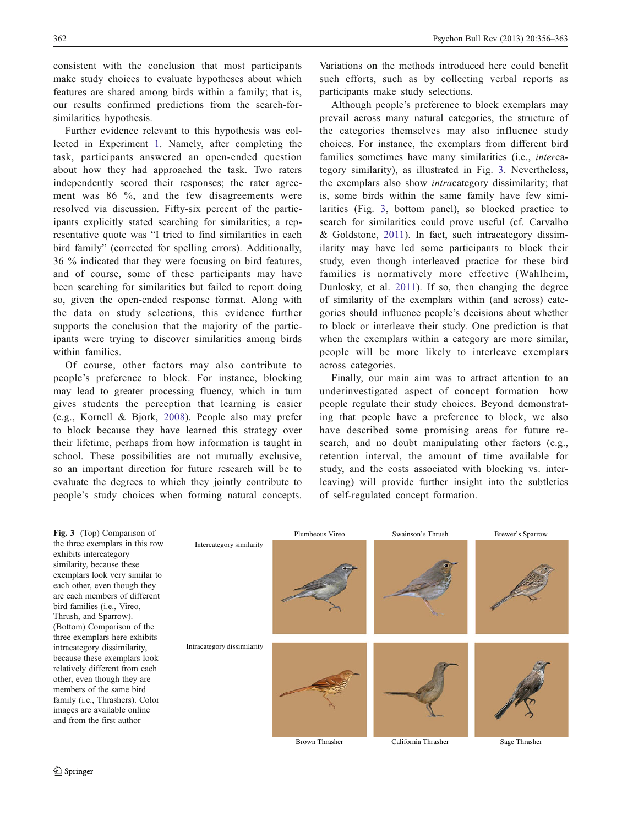consistent with the conclusion that most participants make study choices to evaluate hypotheses about which features are shared among birds within a family; that is, our results confirmed predictions from the search-forsimilarities hypothesis.

Further evidence relevant to this hypothesis was collected in Experiment [1.](#page-1-0) Namely, after completing the task, participants answered an open-ended question about how they had approached the task. Two raters independently scored their responses; the rater agreement was 86 %, and the few disagreements were resolved via discussion. Fifty-six percent of the participants explicitly stated searching for similarities; a representative quote was "I tried to find similarities in each bird family" (corrected for spelling errors). Additionally, 36 % indicated that they were focusing on bird features, and of course, some of these participants may have been searching for similarities but failed to report doing so, given the open-ended response format. Along with the data on study selections, this evidence further supports the conclusion that the majority of the participants were trying to discover similarities among birds within families.

Of course, other factors may also contribute to people's preference to block. For instance, blocking may lead to greater processing fluency, which in turn gives students the perception that learning is easier (e.g., Kornell & Bjork, [2008](#page-7-0)). People also may prefer to block because they have learned this strategy over their lifetime, perhaps from how information is taught in school. These possibilities are not mutually exclusive, so an important direction for future research will be to evaluate the degrees to which they jointly contribute to people's study choices when forming natural concepts.

Variations on the methods introduced here could benefit such efforts, such as by collecting verbal reports as participants make study selections.

Although people's preference to block exemplars may prevail across many natural categories, the structure of the categories themselves may also influence study choices. For instance, the exemplars from different bird families sometimes have many similarities (i.e., *interca*tegory similarity), as illustrated in Fig. 3. Nevertheless, the exemplars also show intracategory dissimilarity; that is, some birds within the same family have few similarities (Fig. 3, bottom panel), so blocked practice to search for similarities could prove useful (cf. Carvalho & Goldstone, [2011\)](#page-7-0). In fact, such intracategory dissimilarity may have led some participants to block their study, even though interleaved practice for these bird families is normatively more effective (Wahlheim, Dunlosky, et al. [2011\)](#page-7-0). If so, then changing the degree of similarity of the exemplars within (and across) categories should influence people's decisions about whether to block or interleave their study. One prediction is that when the exemplars within a category are more similar, people will be more likely to interleave exemplars across categories.

Finally, our main aim was to attract attention to an underinvestigated aspect of concept formation—how people regulate their study choices. Beyond demonstrating that people have a preference to block, we also have described some promising areas for future research, and no doubt manipulating other factors (e.g., retention interval, the amount of time available for study, and the costs associated with blocking vs. interleaving) will provide further insight into the subtleties of self-regulated concept formation.